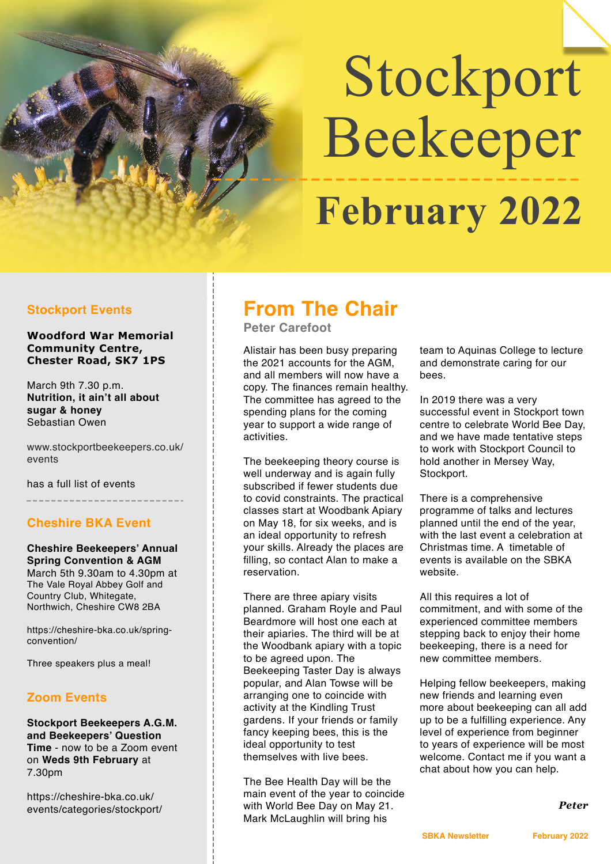# Stockport Beekeeper  **February 2022**

## **Stockport Events**

**Woodford War Memorial Community Centre, Chester Road, SK7 1PS**

March 9th 7.30 p.m. **Nutrition, it ain't all about sugar & honey** Sebastian Owen

www.stockportbeekeepers.co.uk/ events

has a full list of events

**Cheshire BKA Event**

## **Cheshire Beekeepers' Annual Spring Convention & AGM** March 5th 9.30am to 4.30pm at

The Vale Royal Abbey Golf and Country Club, Whitegate, Northwich, Cheshire CW8 2BA

https://cheshire-bka.co.uk/springconvention/

Three speakers plus a meal!

## **Zoom Events**

**Stockport Beekeepers A.G.M. and Beekeepers' Question Time** - now to be a Zoom event on **Weds 9th February** at 7.30pm

https://cheshire-bka.co.uk/ events/categories/stockport/

# **From The Chair**

**Peter Carefoot** 

Alistair has been busy preparing the 2021 accounts for the AGM, and all members will now have a copy. The finances remain healthy. The committee has agreed to the spending plans for the coming year to support a wide range of activities.

The beekeeping theory course is well underway and is again fully subscribed if fewer students due to covid constraints. The practical classes start at Woodbank Apiary on May 18, for six weeks, and is an ideal opportunity to refresh your skills. Already the places are filling, so contact Alan to make a reservation.

There are three apiary visits planned. Graham Royle and Paul Beardmore will host one each at their apiaries. The third will be at the Woodbank apiary with a topic to be agreed upon. The Beekeeping Taster Day is always popular, and Alan Towse will be arranging one to coincide with activity at the Kindling Trust gardens. If your friends or family fancy keeping bees, this is the ideal opportunity to test themselves with live bees.

The Bee Health Day will be the main event of the year to coincide with World Bee Day on May 21. Mark McLaughlin will bring his

team to Aquinas College to lecture and demonstrate caring for our bees.

In 2019 there was a very successful event in Stockport town centre to celebrate World Bee Day, and we have made tentative steps to work with Stockport Council to hold another in Mersey Way, Stockport.

There is a comprehensive programme of talks and lectures planned until the end of the year, with the last event a celebration at Christmas time. A timetable of events is available on the SBKA website.

All this requires a lot of commitment, and with some of the experienced committee members stepping back to enjoy their home beekeeping, there is a need for new committee members.

Helping fellow beekeepers, making new friends and learning even more about beekeeping can all add up to be a fulfilling experience. Any level of experience from beginner to years of experience will be most welcome. Contact me if you want a chat about how you can help.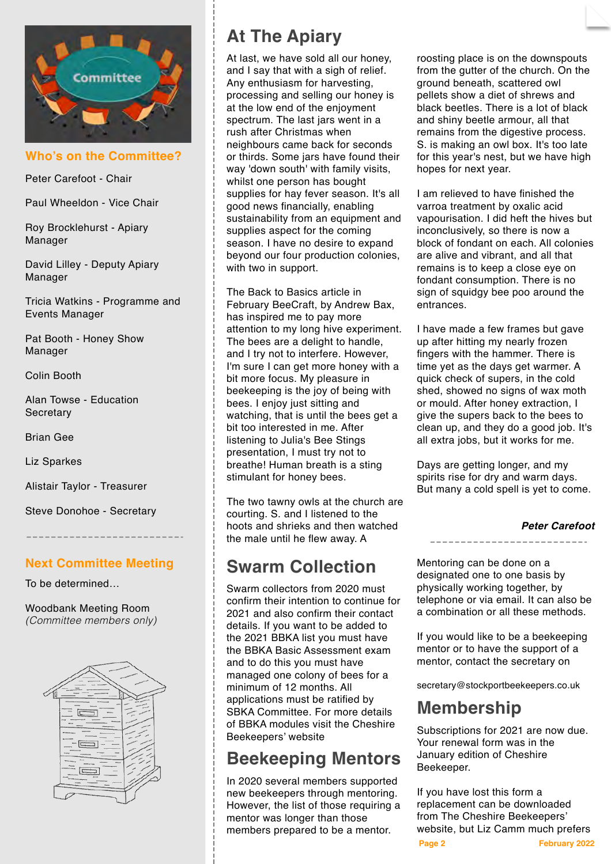

**Who's on the Committee?**

Peter Carefoot - Chair

Paul Wheeldon - Vice Chair

Roy Brocklehurst - Apiary Manager

David Lilley - Deputy Apiary Manager

Tricia Watkins - Programme and Events Manager

Pat Booth - Honey Show Manager

Colin Booth

Alan Towse - Education **Secretary** 

Brian Gee

Liz Sparkes

Alistair Taylor - Treasurer

Steve Donohoe - Secretary

## **Next Committee Meeting**

To be determined…

Woodbank Meeting Room *(Committee members only)*



# **At The Apiary**

At last, we have sold all our honey, and I say that with a sigh of relief. Any enthusiasm for harvesting, processing and selling our honey is at the low end of the enjoyment spectrum. The last jars went in a rush after Christmas when neighbours came back for seconds or thirds. Some jars have found their way 'down south' with family visits, whilst one person has bought supplies for hay fever season. It's all good news financially, enabling sustainability from an equipment and supplies aspect for the coming season. I have no desire to expand beyond our four production colonies, with two in support.

The Back to Basics article in February BeeCraft, by Andrew Bax, has inspired me to pay more attention to my long hive experiment. The bees are a delight to handle, and I try not to interfere. However, I'm sure I can get more honey with a bit more focus. My pleasure in beekeeping is the joy of being with bees. I enjoy just sitting and watching, that is until the bees get a bit too interested in me. After listening to Julia's Bee Stings presentation, I must try not to breathe! Human breath is a sting stimulant for honey bees.

The two tawny owls at the church are courting. S. and I listened to the hoots and shrieks and then watched the male until he flew away. A

# **Swarm Collection**

Swarm collectors from 2020 must confirm their intention to continue for 2021 and also confirm their contact details. If you want to be added to the 2021 BBKA list you must have the BBKA Basic Assessment exam and to do this you must have managed one colony of bees for a minimum of 12 months. All applications must be ratified by SBKA Committee. For more details of BBKA modules visit the Cheshire Beekeepers' website

# **Beekeeping Mentors**

In 2020 several members supported new beekeepers through mentoring. However, the list of those requiring a mentor was longer than those members prepared to be a mentor.

roosting place is on the downspouts from the gutter of the church. On the ground beneath, scattered owl pellets show a diet of shrews and black beetles. There is a lot of black and shiny beetle armour, all that remains from the digestive process. S. is making an owl box. It's too late for this year's nest, but we have high hopes for next year.

I am relieved to have finished the varroa treatment by oxalic acid vapourisation. I did heft the hives but inconclusively, so there is now a block of fondant on each. All colonies are alive and vibrant, and all that remains is to keep a close eye on fondant consumption. There is no sign of squidgy bee poo around the entrances.

I have made a few frames but gave up after hitting my nearly frozen fingers with the hammer. There is time yet as the days get warmer. A quick check of supers, in the cold shed, showed no signs of wax moth or mould. After honey extraction, I give the supers back to the bees to clean up, and they do a good job. It's all extra jobs, but it works for me.

Days are getting longer, and my spirits rise for dry and warm days. But many a cold spell is yet to come.

### *Peter Carefoot*

Mentoring can be done on a designated one to one basis by physically working together, by telephone or via email. It can also be a combination or all these methods.

If you would like to be a beekeeping mentor or to have the support of a mentor, contact the secretary on

secretary@stockportbeekeepers.co.uk

# **Membership**

Subscriptions for 2021 are now due. Your renewal form was in the January edition of Cheshire Beekeeper.

**Page 2 February 2022** If you have lost this form a replacement can be downloaded from The Cheshire Beekeepers' website, but Liz Camm much prefers